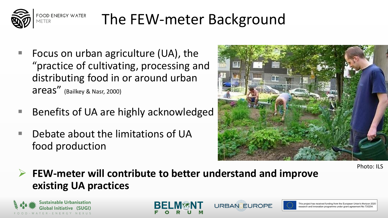

## The FEW-meter Background

- Focus on urban agriculture (UA), the "practice of cultivating, processing and distributing food in or around urban areas" (Bailkey & Nasr, 2000)
- Benefits of UA are highly acknowledged
- Debate about the limitations of UA food production



Photo: ILS

 **FEW-meter will contribute to better understand and improve existing UA practices**

**URBANCEUROPE** 



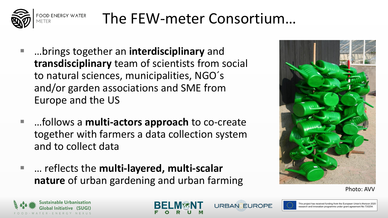

## The FEW-meter Consortium…

- …brings together an **interdisciplinary** and **transdisciplinary** team of scientists from social to natural sciences, municipalities, NGO´s and/or garden associations and SME from Europe and the US
- …follows a **multi-actors approach** to co-create together with farmers a data collection system and to collect data
- ... reflects the **multi-layered, multi-scalar nature** of urban gardening and urban farming



Photo: AVV







This project has received funding from the European Union's Horizon 2020